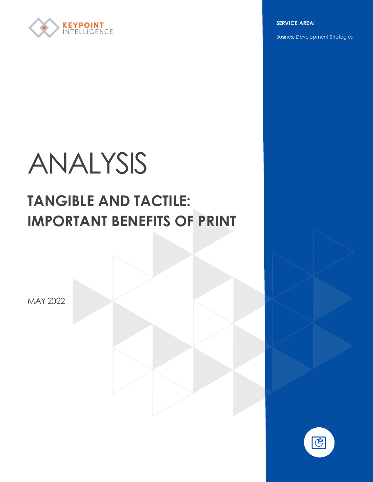

**SERVICE AREA:**

Business Development Strategies

# ANALYSIS

# **TANGIBLE AND TACTILE: IMPORTANT BENEFITS OF PRINT**

MAY 2022

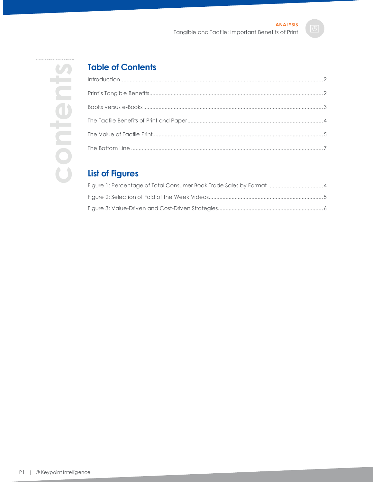

# **Table of Contents**

# **List of Figures**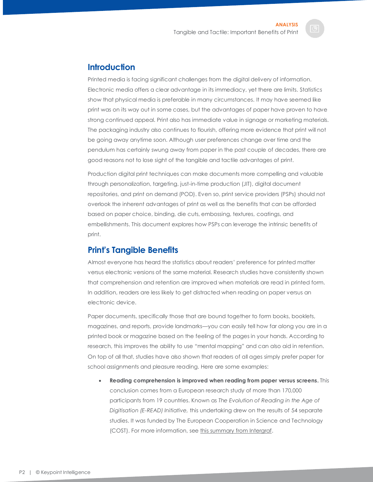#### <span id="page-2-0"></span>**Introduction**

Printed media is facing significant challenges from the digital delivery of information. Electronic media offers a clear advantage in its immediacy, yet there are limits. Statistics show that physical media is preferable in many circumstances. It may have seemed like print was on its way out in some cases, but the advantages of paper have proven to have strong continued appeal. Print also has immediate value in signage or marketing materials. The packaging industry also continues to flourish, offering more evidence that print will not be going away anytime soon. Although user preferences change over time and the pendulum has certainly swung away from paper in the past couple of decades, there are good reasons not to lose sight of the tangible and tactile advantages of print.

Production digital print techniques can make documents more compelling and valuable through personalization, targeting, just-in-time production (JIT), digital document repositories, and print on demand (POD). Even so, print service providers (PSPs) should not overlook the inherent advantages of print as well as the benefits that can be afforded based on paper choice, binding, die cuts, embossing, textures, coatings, and embellishments. This document explores how PSPs can leverage the intrinsic benefits of print.

#### <span id="page-2-1"></span>**Print's Tangible Benefits**

Almost everyone has heard the statistics about readers' preference for printed matter versus electronic versions of the same material. Research studies have consistently shown that comprehension and retention are improved when materials are read in printed form. In addition, readers are less likely to get distracted when reading on paper versus an electronic device.

Paper documents, specifically those that are bound together to form books, booklets, magazines, and reports, provide landmarks—you can easily tell how far along you are in a printed book or magazine based on the feeling of the pages in your hands. According to research, this improves the ability to use "mental mapping" and can also aid in retention. On top of all that, studies have also shown that readers of all ages simply prefer paper for school assignments and pleasure reading. Here are some examples:

• **Reading comprehension is improved when reading from paper versus screens.** This conclusion comes from a European research study of more than 170,000 participants from 19 countries. Known as *The Evolution of Reading in the Age of Digitisation (E-READ) Initiative,* this undertaking drew on the results of 54 separate studies. It was funded by The European Cooperation in Science and Technology (COST). For more information, se[e this summary from Intergraf.](https://www.intergraf.eu/images/pdf/Intergraf_Reading%20Declaration_3pages.pdf)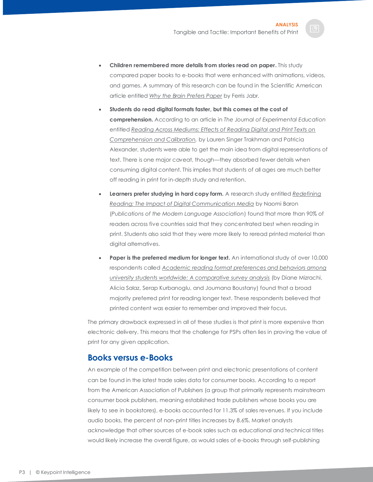- **Children remembered more details from stories read on paper.** This study compared paper books to e-books that were enhanced with animations, videos, and games. A summary of this research can be found in the Scientific American article entitled *[Why the Brain Prefers Paper](https://www.scientificamerican.com/article/reading-paper-screens/)* by Ferris Jabr.
- **Students do read digital formats faster, but this comes at the cost of comprehension.** According to an article in *The Journal of Experimental Education* entitled *[Reading Across Mediums: Effects of Reading Digital and Print Texts on](https://www.researchgate.net/publication/297716778_Reading_Across_Mediums_Effects_of_Reading_Digital_and_Print_Texts_on_Comprehension_and_Calibration)  [Comprehension and Calibration,](https://www.researchgate.net/publication/297716778_Reading_Across_Mediums_Effects_of_Reading_Digital_and_Print_Texts_on_Comprehension_and_Calibration)* by Lauren Singer Trakhman and Patricia Alexander, students were able to get the main idea from digital representations of text. There is one major caveat, though—they absorbed fewer details when consuming digital content. This implies that students of all ages are much better off reading in print for in-depth study and retention.
- **Learners prefer studying in hard copy form.** A research study entitled *[Redefining](https://www.cambridge.org/core/journals/pmla/article/abs/redefining-reading-the-impact-of-digital-communication-media/415379251D92AD3FF0013B4D3D8EB32F)  [Reading: The Impact of Digital Communication Media](https://www.cambridge.org/core/journals/pmla/article/abs/redefining-reading-the-impact-of-digital-communication-media/415379251D92AD3FF0013B4D3D8EB32F)* by Naomi Baron (*Publications of the Modern Language Association*) found that more than 90% of readers across five countries said that they concentrated best when reading in print. Students also said that they were more likely to reread printed material than digital alternatives.
- **Paper is the preferred medium for longer text.** An international study of over 10,000 respondents called *[Academic reading format preferences and behaviors among](https://journals.plos.org/plosone/article?id=10.1371/journal.pone.0197444)  [university students worldwide: A comparative survey analysis](https://journals.plos.org/plosone/article?id=10.1371/journal.pone.0197444)* (by Diane Mizrachi, Alicia Salaz, Serap Kurbanoglu, and Joumana Boustany) found that a broad majority preferred print for reading longer text. These respondents believed that printed content was easier to remember and improved their focus.

The primary drawback expressed in all of these studies is that print is more expensive than electronic delivery. This means that the challenge for PSPs often lies in proving the value of print for any given application.

#### <span id="page-3-0"></span>**Books versus e-Books**

An example of the competition between print and electronic presentations of content can be found in the latest trade sales data for consumer books. According to a report from the American Association of Publishers (a group that primarily represents mainstream consumer book publishers, meaning established trade publishers whose books you are likely to see in bookstores), e-books accounted for 11.3% of sales revenues. If you include audio books, the percent of non-print titles increases by 8.6%. Market analysts acknowledge that other sources of e-book sales such as educational and technical titles would likely increase the overall figure, as would sales of e-books through self-publishing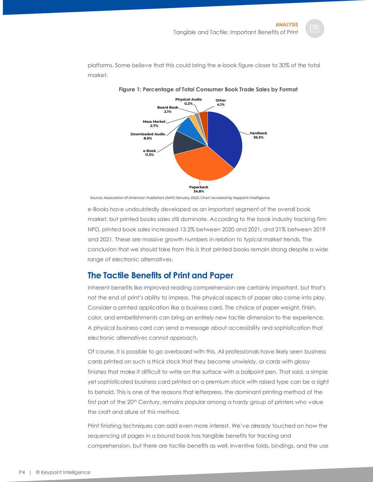<span id="page-4-1"></span>platforms. Some believe that this could bring the e-book figure closer to 30% of the total market.



**Figure 1: Percentage of Total Consumer Book Trade Sales by Format**

Source: *Association of American Publishers (AAP) January 2022*; Chart recreated by Keypoint Intelligence

e-Books have undoubtedly developed as an important segment of the overall book market, but printed books sales still dominate. According to the book industry tracking firm NPD, printed book sales increased 13.2% between 2020 and 2021, and 21% between 2019 and 2021. These are massive growth numbers in relation to typical market trends. The conclusion that we should take from this is that printed books remain strong despite a wide range of electronic alternatives.

### <span id="page-4-0"></span>**The Tactile Benefits of Print and Paper**

Inherent benefits like improved reading comprehension are certainly important, but that's not the end of print's ability to impress. The physical aspects of paper also come into play. Consider a printed application like a business card. The choice of paper weight, finish, color, and embellishments can bring an entirely new tactile dimension to the experience. A physical business card can send a message about accessibility and sophistication that electronic alternatives cannot approach.

Of course, it is possible to go overboard with this. All professionals have likely seen business cards printed on such a thick stock that they become unwieldy, or cards with glossy finishes that make it difficult to write on the surface with a ballpoint pen. That said, a simple yet sophisticated business card printed on a premium stock with raised type can be a sight to behold. This is one of the reasons that letterpress, the dominant printing method of the first part of the 20<sup>th</sup> Century, remains popular among a hardy group of printers who value the craft and allure of this method.

Print finishing techniques can add even more interest. We've already touched on how the sequencing of pages in a bound book has tangible benefits for tracking and comprehension, but there are tactile benefits as well. Inventive folds, bindings, and the use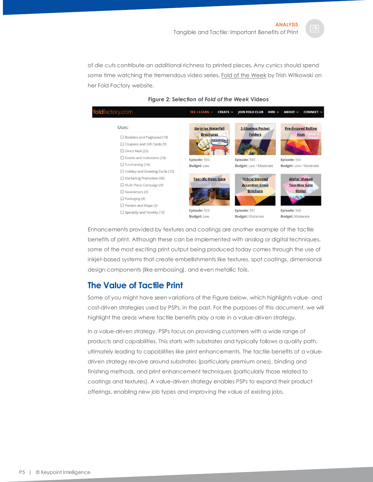of die cuts contribute an additional richness to printed pieces. Any cynics should spend some time watching the tremendous video series, [Fold of the Week](https://foldfactory.com/fold-of-the-week/) by Trish Witkowski on her Fold Factory website.

<span id="page-5-1"></span>

#### **Figure 2: Selection of** *Fold of the Week* **Videos**

Enhancements provided by textures and coatings are another example of the tactile benefits of print. Although these can be implemented with analog or digital techniques, some of the most exciting print output being produced today comes through the use of inkjet-based systems that create embellishments like textures, spot coatings, dimensional design components (like embossing), and even metallic foils.

#### <span id="page-5-0"></span>**The Value of Tactile Print**

Some of you might have seen variations of the Figure below, which highlights value- and cost-driven strategies used by PSPs, in the past. For the purposes of this document, we will highlight the areas where tactile benefits play a role in a value-driven strategy.

In a value-driven strategy, PSPs focus on providing customers with a wide range of products and capabilities. This starts with substrates and typically follows a quality path, ultimately leading to capabilities like print enhancements. The tactile benefits of a valuedriven strategy revolve around substrates (particularly premium ones), binding and finishing methods, and print enhancement techniques (particularly those related to coatings and textures). A value-driven strategy enables PSPs to expand their product offerings, enabling new job types and improving the value of existing jobs.

P5 | © Keypoint Intelligence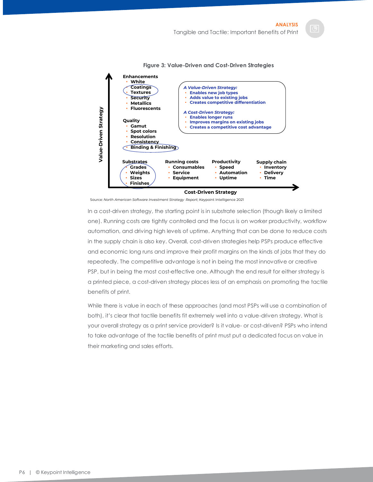<span id="page-6-0"></span>

**Figure 3: Value-Driven and Cost-Driven Strategies**

Source: *North American Software Investment Strategy Report*; Keypoint Intelligence 2021

In a cost-driven strategy, the starting point is in substrate selection (though likely a limited one). Running costs are tightly controlled and the focus is on worker productivity, workflow automation, and driving high levels of uptime. Anything that can be done to reduce costs in the supply chain is also key. Overall, cost-driven strategies help PSPs produce effective and economic long runs and improve their profit margins on the kinds of jobs that they do repeatedly. The competitive advantage is not in being the most innovative or creative PSP, but in being the most cost-effective one. Although the end result for either strategy is a printed piece, a cost-driven strategy places less of an emphasis on promoting the tactile benefits of print.

While there is value in each of these approaches (and most PSPs will use a combination of both), it's clear that tactile benefits fit extremely well into a value-driven strategy. What is your overall strategy as a print service provider? Is it value- or cost-driven? PSPs who intend to take advantage of the tactile benefits of print must put a dedicated focus on value in their marketing and sales efforts.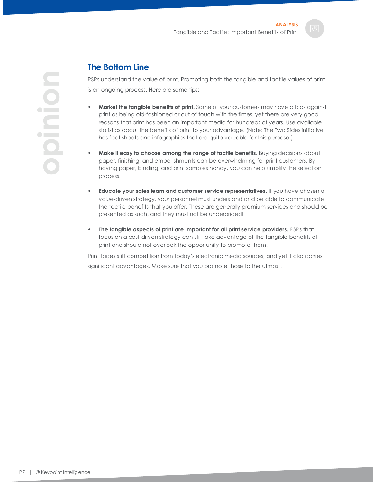**opinion**

## <span id="page-7-0"></span>**The Bottom Line**

PSPs understand the value of print. Promoting both the tangible and tactile values of print is an ongoing process. Here are some tips:

- **Market the tangible benefits of print.** Some of your customers may have a bias against print as being old-fashioned or out of touch with the times, yet there are very good reasons that print has been an important media for hundreds of years. Use available statistics about the benefits of print to your advantage. (Note: Th[e Two Sides initiative](https://twosidesna.org/member-benefits) has fact sheets and infographics that are quite valuable for this purpose.)
- **Make it easy to choose among the range of tactile benefits.** Buying decisions about paper, finishing, and embellishments can be overwhelming for print customers. By having paper, binding, and print samples handy, you can help simplify the selection process.
- **Educate your sales team and customer service representatives.** If you have chosen a value-driven strategy, your personnel must understand and be able to communicate the tactile benefits that you offer. These are generally premium services and should be presented as such, and they must not be underpriced!
- **The tangible aspects of print are important for all print service providers.** PSPs that focus on a cost-driven strategy can still take advantage of the tangible benefits of print and should not overlook the opportunity to promote them.

Print faces stiff competition from today's electronic media sources, and yet it also carries significant advantages. Make sure that you promote those to the utmost!